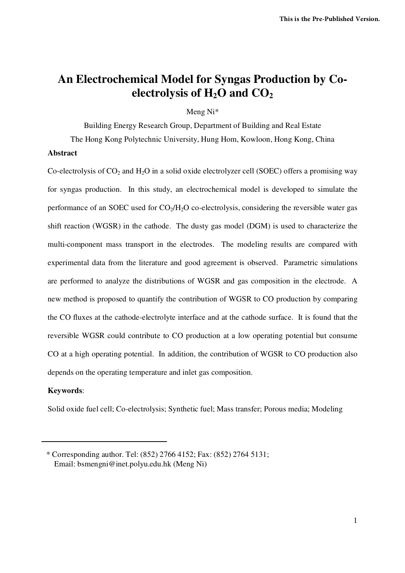# **An Electrochemical Model for Syngas Production by Coelectrolysis of H2O and CO<sup>2</sup>**

Meng Ni\*

Building Energy Research Group, Department of Building and Real Estate

The Hong Kong Polytechnic University, Hung Hom, Kowloon, Hong Kong, China

# **Abstract**

Co-electrolysis of  $CO_2$  and  $H_2O$  in a solid oxide electrolyzer cell (SOEC) offers a promising way for syngas production. In this study, an electrochemical model is developed to simulate the performance of an SOEC used for  $CO<sub>2</sub>/H<sub>2</sub>O$  co-electrolysis, considering the reversible water gas shift reaction (WGSR) in the cathode. The dusty gas model (DGM) is used to characterize the multi-component mass transport in the electrodes. The modeling results are compared with experimental data from the literature and good agreement is observed. Parametric simulations are performed to analyze the distributions of WGSR and gas composition in the electrode. A new method is proposed to quantify the contribution of WGSR to CO production by comparing the CO fluxes at the cathode-electrolyte interface and at the cathode surface. It is found that the reversible WGSR could contribute to CO production at a low operating potential but consume CO at a high operating potential. In addition, the contribution of WGSR to CO production also depends on the operating temperature and inlet gas composition.

# **Keywords**:

Solid oxide fuel cell; Co-electrolysis; Synthetic fuel; Mass transfer; Porous media; Modeling

<sup>\*</sup> Corresponding author. Tel: (852) 2766 4152; Fax: (852) 2764 5131; Email: bsmengni@inet.polyu.edu.hk (Meng Ni)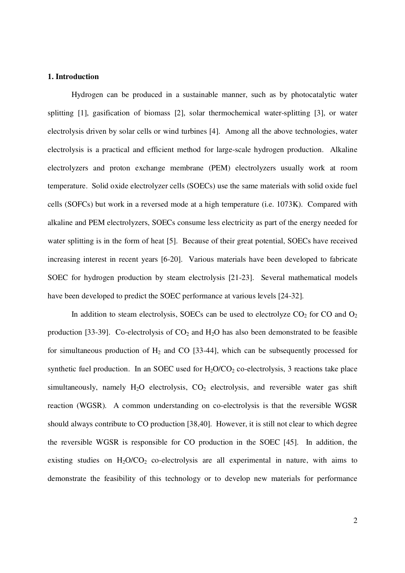## **1. Introduction**

Hydrogen can be produced in a sustainable manner, such as by photocatalytic water splitting [1], gasification of biomass [2], solar thermochemical water-splitting [3], or water electrolysis driven by solar cells or wind turbines [4]. Among all the above technologies, water electrolysis is a practical and efficient method for large-scale hydrogen production. Alkaline electrolyzers and proton exchange membrane (PEM) electrolyzers usually work at room temperature. Solid oxide electrolyzer cells (SOECs) use the same materials with solid oxide fuel cells (SOFCs) but work in a reversed mode at a high temperature (i.e. 1073K). Compared with alkaline and PEM electrolyzers, SOECs consume less electricity as part of the energy needed for water splitting is in the form of heat [5]. Because of their great potential, SOECs have received increasing interest in recent years [6-20]. Various materials have been developed to fabricate SOEC for hydrogen production by steam electrolysis [21-23]. Several mathematical models have been developed to predict the SOEC performance at various levels [24-32].

In addition to steam electrolysis, SOECs can be used to electrolyze  $CO<sub>2</sub>$  for CO and  $O<sub>2</sub>$ production [33-39]. Co-electrolysis of  $CO<sub>2</sub>$  and  $H<sub>2</sub>O$  has also been demonstrated to be feasible for simultaneous production of  $H_2$  and CO [33-44], which can be subsequently processed for synthetic fuel production. In an SOEC used for  $H_2O/CO_2$  co-electrolysis, 3 reactions take place simultaneously, namely  $H_2O$  electrolysis,  $CO_2$  electrolysis, and reversible water gas shift reaction (WGSR). A common understanding on co-electrolysis is that the reversible WGSR should always contribute to CO production [38,40]. However, it is still not clear to which degree the reversible WGSR is responsible for CO production in the SOEC [45]. In addition, the existing studies on  $H_2O/CO_2$  co-electrolysis are all experimental in nature, with aims to demonstrate the feasibility of this technology or to develop new materials for performance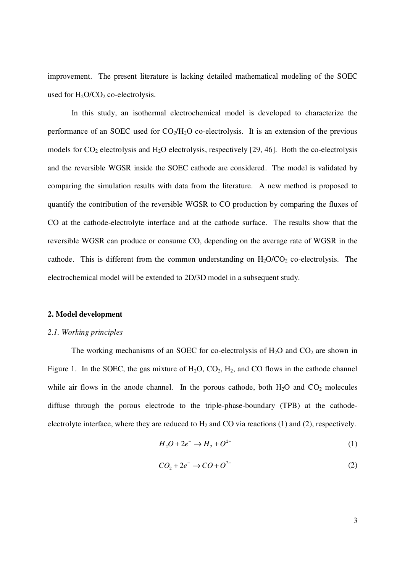improvement. The present literature is lacking detailed mathematical modeling of the SOEC used for  $H_2O/CO_2$  co-electrolysis.

In this study, an isothermal electrochemical model is developed to characterize the performance of an SOEC used for  $CO<sub>2</sub>/H<sub>2</sub>O$  co-electrolysis. It is an extension of the previous models for  $CO_2$  electrolysis and  $H_2O$  electrolysis, respectively [29, 46]. Both the co-electrolysis and the reversible WGSR inside the SOEC cathode are considered. The model is validated by comparing the simulation results with data from the literature. A new method is proposed to quantify the contribution of the reversible WGSR to CO production by comparing the fluxes of CO at the cathode-electrolyte interface and at the cathode surface. The results show that the reversible WGSR can produce or consume CO, depending on the average rate of WGSR in the cathode. This is different from the common understanding on  $H_2O/CO_2$  co-electrolysis. The electrochemical model will be extended to 2D/3D model in a subsequent study.

#### **2. Model development**

## *2.1. Working principles*

The working mechanisms of an SOEC for co-electrolysis of  $H_2O$  and  $CO_2$  are shown in Figure 1. In the SOEC, the gas mixture of  $H_2O$ ,  $CO_2$ ,  $H_2$ , and CO flows in the cathode channel while air flows in the anode channel. In the porous cathode, both  $H_2O$  and  $CO_2$  molecules diffuse through the porous electrode to the triple-phase-boundary (TPB) at the cathodeelectrolyte interface, where they are reduced to  $H_2$  and CO via reactions (1) and (2), respectively.

$$
H_2O + 2e^- \to H_2 + O^{2-}
$$
 (1)

$$
CO_2 + 2e^- \rightarrow CO + O^{2-}
$$
 (2)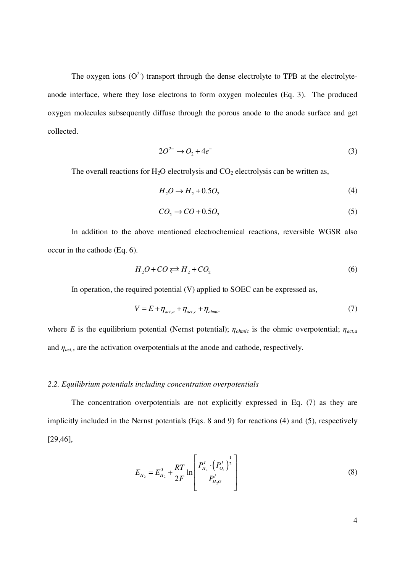The oxygen ions  $(O^2)$  transport through the dense electrolyte to TPB at the electrolyteanode interface, where they lose electrons to form oxygen molecules (Eq. 3). The produced oxygen molecules subsequently diffuse through the porous anode to the anode surface and get collected.

$$
2O^{2-} \rightarrow O_2 + 4e^- \tag{3}
$$

The overall reactions for  $H_2O$  electrolysis and  $CO_2$  electrolysis can be written as,

$$
H_2O \to H_2 + 0.5O_2 \tag{4}
$$

$$
CO_2 \rightarrow CO + 0.5O_2 \tag{5}
$$

In addition to the above mentioned electrochemical reactions, reversible WGSR also occur in the cathode (Eq. 6).

$$
H_2O + CO \rightleftarrows H_2 + CO_2 \tag{6}
$$

In operation, the required potential (V) applied to SOEC can be expressed as,

$$
V = E + \eta_{\text{act},a} + \eta_{\text{act},c} + \eta_{\text{ohmic}} \tag{7}
$$

where *E* is the equilibrium potential (Nernst potential);  $\eta_{ohmic}$  is the ohmic overpotential;  $\eta_{act,a}$ and  $\eta_{act,c}$  are the activation overpotentials at the anode and cathode, respectively.

# *2.2. Equilibrium potentials including concentration overpotentials*

The concentration overpotentials are not explicitly expressed in Eq. (7) as they are implicitly included in the Nernst potentials (Eqs. 8 and 9) for reactions (4) and (5), respectively [29,46],

$$
E_{H_2} = E_{H_2}^0 + \frac{RT}{2F} \ln \left[ \frac{P_{H_2}^I \cdot \left( P_{O_2}^I \right)^{\frac{1}{2}}}{P_{H_2O}^I} \right]
$$
(8)

4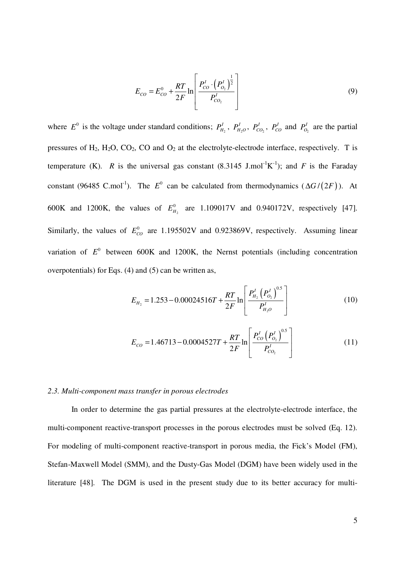$$
E_{CO} = E_{CO}^0 + \frac{RT}{2F} \ln \left[ \frac{P_{CO}^I \cdot \left( P_{O_2}^I \right)^{\frac{1}{2}}}{P_{CO_2}^I} \right]
$$
(9)

where  $E^0$  is the voltage under standard conditions;  $P_{H_2}^I$ ,  $P_{H_2O}^I$ ,  $P_{CO_2}^I$ ,  $P_{CO_2}^I$ ,  $P_{CO_2}^I$  are the partial pressures of  $H_2$ ,  $H_2O$ ,  $CO_2$ ,  $CO$  and  $O_2$  at the electrolyte-electrode interface, respectively. T is temperature (K). R is the universal gas constant  $(8.3145 \text{ J.mol}^{-1}\text{K}^{-1})$ ; and F is the Faraday constant (96485 C.mol<sup>-1</sup>). The  $E^0$  can be calculated from thermodynamics ( $\Delta G/(2F)$ ). At 600K and 1200K, the values of  $E_{H_2}^0$  are 1.109017V and 0.940172V, respectively [47]. Similarly, the values of  $E_{CO}^0$  are 1.195502V and 0.923869V, respectively. Assuming linear variation of  $E^0$  between 600K and 1200K, the Nernst potentials (including concentration overpotentials) for Eqs. (4) and (5) can be written as,

$$
E_{H_2} = 1.253 - 0.00024516T + \frac{RT}{2F} \ln \left[ \frac{P_{H_2}^I \left( P_{O_2}^I \right)^{0.5}}{P_{H_2O}^I} \right]
$$
(10)

$$
E_{CO} = 1.46713 - 0.0004527T + \frac{RT}{2F} \ln \left[ \frac{P_{CO}^I \left( P_{O_2}^I \right)^{0.5}}{P_{CO_2}^I} \right]
$$
(11)

## *2.3. Multi-component mass transfer in porous electrodes*

In order to determine the gas partial pressures at the electrolyte-electrode interface, the multi-component reactive-transport processes in the porous electrodes must be solved (Eq. 12). For modeling of multi-component reactive-transport in porous media, the Fick's Model (FM), Stefan-Maxwell Model (SMM), and the Dusty-Gas Model (DGM) have been widely used in the literature [48]. The DGM is used in the present study due to its better accuracy for multi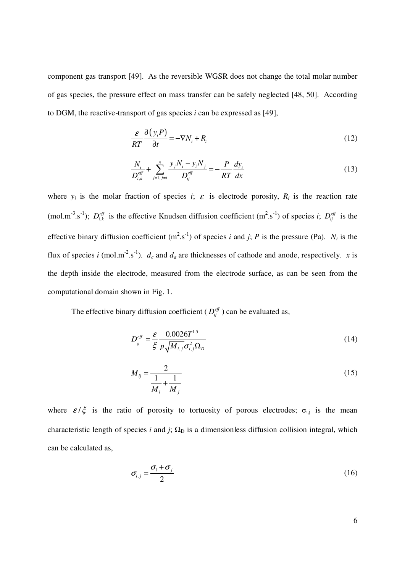component gas transport [49]. As the reversible WGSR does not change the total molar number of gas species, the pressure effect on mass transfer can be safely neglected [48, 50]. According to DGM, the reactive-transport of gas species *i* can be expressed as [49],

$$
\frac{\varepsilon}{RT} \frac{\partial (y_i P)}{\partial t} = -\nabla N_i + R_i
$$
\n(12)

$$
\frac{N_i}{D_{i,k}^{\text{eff}}} + \sum_{j=1,\ j\neq i}^{n} \frac{y_j N_i - y_i N_j}{D_{ij}^{\text{eff}}} = -\frac{P}{RT} \frac{dy_i}{dx}
$$
\n(13)

where  $y_i$  is the molar fraction of species *i*;  $\varepsilon$  is electrode porosity,  $R_i$  is the reaction rate (mol.m<sup>-3</sup>.s<sup>-1</sup>);  $D_{i,k}^{eff}$  is the effective Knudsen diffusion coefficient (m<sup>2</sup>.s<sup>-1</sup>) of species *i*;  $D_{ij}^{eff}$  is the effective binary diffusion coefficient  $(m^2.s^{-1})$  of species *i* and *j*; *P* is the pressure (Pa). *N<sub>i</sub>* is the flux of species *i* (mol.m<sup>-2</sup>.s<sup>-1</sup>).  $d_c$  and  $d_a$  are thicknesses of cathode and anode, respectively. *x* is the depth inside the electrode, measured from the electrode surface, as can be seen from the computational domain shown in Fig. 1.

The effective binary diffusion coefficient ( $D_{ij}^{\text{eff}}$ ) can be evaluated as,

$$
D_{ij}^{eff} = \frac{\varepsilon}{\xi} \frac{0.0026T^{1.5}}{p\sqrt{M_{i,j}} \sigma_{i,j}^2 \Omega_D}
$$
 (14)

$$
M_{ij} = \frac{2}{\frac{1}{M_i} + \frac{1}{M_j}}
$$
 (15)

where  $\epsilon/\xi$  is the ratio of porosity to tortuosity of porous electrodes;  $\sigma_{i,j}$  is the mean characteristic length of species *i* and *j*;  $\Omega_D$  is a dimensionless diffusion collision integral, which can be calculated as,

$$
\sigma_{i,j} = \frac{\sigma_i + \sigma_j}{2} \tag{16}
$$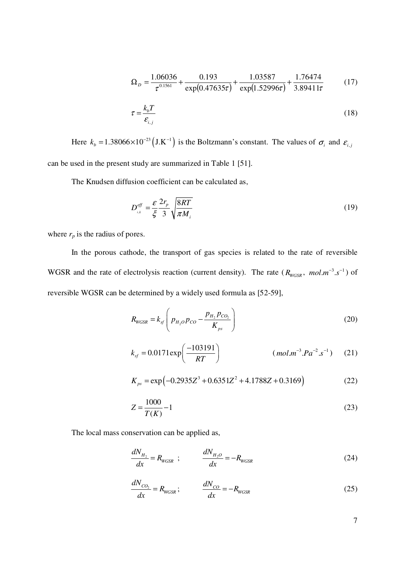$$
\Omega_D = \frac{1.06036}{\tau^{0.1561}} + \frac{0.193}{\exp(0.47635\tau)} + \frac{1.03587}{\exp(1.52996\tau)} + \frac{1.76474}{3.89411\tau}
$$
(17)

$$
\tau = \frac{k_b T}{\varepsilon_{i,j}}\tag{18}
$$

Here  $k_b = 1.38066 \times 10^{-23} (J.K^{-1})$  is the Boltzmann's constant. The values of  $\sigma_i$  and  $\varepsilon_{i,j}$ can be used in the present study are summarized in Table 1 [51].

The Knudsen diffusion coefficient can be calculated as,

$$
D_{i,k}^{\text{eff}} = \frac{\varepsilon}{\xi} \frac{2r_p}{3} \sqrt{\frac{8RT}{\pi M_i}}
$$
(19)

where  $r_p$  is the radius of pores.

In the porous cathode, the transport of gas species is related to the rate of reversible WGSR and the rate of electrolysis reaction (current density). The rate  $(R_{WGSR}, mol.m^{-3}.s^{-1})$  of reversible WGSR can be determined by a widely used formula as [52-59],

$$
R_{WGSR} = k_{sf} \left( p_{H_2O} p_{CO} - \frac{p_{H_2} p_{CO_2}}{K_{ps}} \right)
$$
 (20)

$$
k_{sf} = 0.0171 \exp\left(\frac{-103191}{RT}\right) \qquad (mol.m^{-3}.Pa^{-2}.s^{-1}) \qquad (21)
$$

$$
K_{ps} = \exp(-0.2935Z^3 + 0.6351Z^2 + 4.1788Z + 0.3169)
$$
 (22)

$$
Z = \frac{1000}{T(K)} - 1\tag{23}
$$

The local mass conservation can be applied as,

$$
\frac{dN_{H_2}}{dx} = R_{WGSR} \quad ; \qquad \frac{dN_{H_2O}}{dx} = -R_{WGSR} \tag{24}
$$

$$
\frac{dN_{CO_2}}{dx} = R_{WGSR} ; \qquad \frac{dN_{CO}}{dx} = -R_{WGSR}
$$
 (25)

7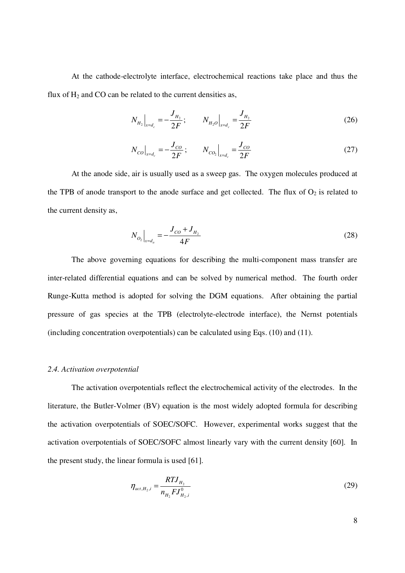At the cathode-electrolyte interface, electrochemical reactions take place and thus the flux of  $H_2$  and CO can be related to the current densities as,

$$
N_{H_2}\Big|_{x=d_c} = -\frac{J_{H_2}}{2F}; \qquad N_{H_2O}\Big|_{x=d_c} = \frac{J_{H_2}}{2F}
$$
 (26)

$$
N_{CO}\big|_{x=d_c} = -\frac{J_{CO}}{2F}; \qquad N_{CO_2}\big|_{x=d_c} = \frac{J_{CO}}{2F}
$$
 (27)

At the anode side, air is usually used as a sweep gas. The oxygen molecules produced at the TPB of anode transport to the anode surface and get collected. The flux of  $O_2$  is related to the current density as,

$$
N_{O_2}\Big|_{x=d_a} = -\frac{J_{CO} + J_{H_2}}{4F} \tag{28}
$$

The above governing equations for describing the multi-component mass transfer are inter-related differential equations and can be solved by numerical method. The fourth order Runge-Kutta method is adopted for solving the DGM equations. After obtaining the partial pressure of gas species at the TPB (electrolyte-electrode interface), the Nernst potentials (including concentration overpotentials) can be calculated using Eqs. (10) and (11).

## *2.4. Activation overpotential*

The activation overpotentials reflect the electrochemical activity of the electrodes. In the literature, the Butler-Volmer (BV) equation is the most widely adopted formula for describing the activation overpotentials of SOEC/SOFC. However, experimental works suggest that the activation overpotentials of SOEC/SOFC almost linearly vary with the current density [60]. In the present study, the linear formula is used [61].

$$
\eta_{\scriptscriptstyle act,H_{2},i} = \frac{RTJ_{H_2}}{n_{H_2}FJ_{H_2,i}^0}
$$
\n(29)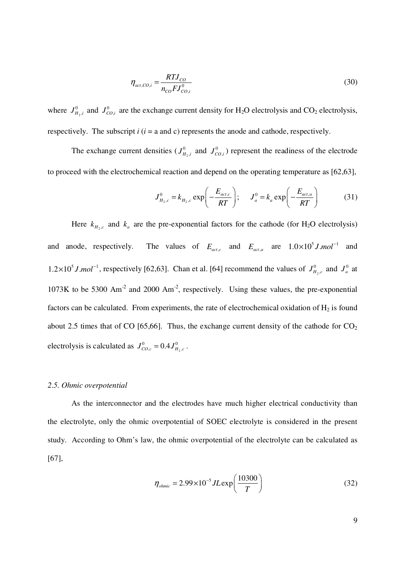$$
\eta_{act,CO,i} = \frac{RTJ_{CO}}{n_{CO} FJ_{CO,i}^0}
$$
\n(30)

where  $J_{H_2}^0$  $\mathbf{0}$  $J_{H_2,i}^0$  and  $J_{CO,i}^0$  are the exchange current density for H<sub>2</sub>O electrolysis and CO<sub>2</sub> electrolysis, respectively. The subscript  $i$  ( $i = a$  and c) represents the anode and cathode, respectively.

The exchange current densities ( $J_{H_2}^0$  $\mathbf{0}$  $J_{H_2,i}^0$  and  $J_{CO,i}^0$ ) represent the readiness of the electrode to proceed with the electrochemical reaction and depend on the operating temperature as [62,63],

$$
J_{H_2,c}^0 = k_{H_2,c} \exp\left(-\frac{E_{act,c}}{RT}\right); \qquad J_a^0 = k_a \exp\left(-\frac{E_{act,a}}{RT}\right) \tag{31}
$$

Here  $k_{H_2,c}$  and  $k_a$  are the pre-exponential factors for the cathode (for H<sub>2</sub>O electrolysis) and anode, respectively. and  $E_{act,a}$  are  $1.0 \times 10^5 J$  *mol*<sup>-1</sup> and  $1.2 \times 10^5$  *J mol*<sup>-1</sup>, respectively [62,63]. Chan et al. [64] recommend the values of  $J_{H_2}^0$  $J_{H_2,c}^0$  and  $J_a^0$  at  $1073K$  to be 5300 Am<sup>-2</sup> and 2000 Am<sup>-2</sup>, respectively. Using these values, the pre-exponential factors can be calculated. From experiments, the rate of electrochemical oxidation of  $H_2$  is found about 2.5 times that of CO [65,66]. Thus, the exchange current density of the cathode for  $CO<sub>2</sub>$ electrolysis is calculated as  $J_{CO,c}^{0} = 0.4 J_{H_2}^{0}$  $J_{CO,c}^{0} = 0.4 J_{H_2,c}^{0}$ .

## *2.5. Ohmic overpotential*

As the interconnector and the electrodes have much higher electrical conductivity than the electrolyte, only the ohmic overpotential of SOEC electrolyte is considered in the present study. According to Ohm's law, the ohmic overpotential of the electrolyte can be calculated as [67],

$$
\eta_{ohmic} = 2.99 \times 10^{-5} J L \exp\left(\frac{10300}{T}\right) \tag{32}
$$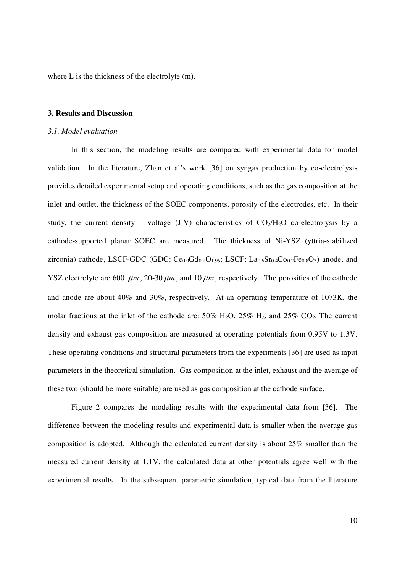where L is the thickness of the electrolyte (m).

## **3. Results and Discussion**

## *3.1. Model evaluation*

In this section, the modeling results are compared with experimental data for model validation. In the literature, Zhan et al's work [36] on syngas production by co-electrolysis provides detailed experimental setup and operating conditions, such as the gas composition at the inlet and outlet, the thickness of the SOEC components, porosity of the electrodes, etc. In their study, the current density – voltage (J-V) characteristics of  $CO<sub>2</sub>/H<sub>2</sub>O$  co-electrolysis by a cathode-supported planar SOEC are measured. The thickness of Ni-YSZ (yttria-stabilized zirconia) cathode, LSCF-GDC (GDC:  $Ce<sub>0.9</sub>Gd<sub>0.1</sub>O<sub>1.95</sub>$ ; LSCF: La<sub>0.6</sub>Sr<sub>0.4</sub>Co<sub>0.2</sub>Fe<sub>0.8</sub>O<sub>3</sub>) anode, and YSZ electrolyte are 600  $\mu$ m, 20-30  $\mu$ m, and 10  $\mu$ m, respectively. The porosities of the cathode and anode are about 40% and 30%, respectively. At an operating temperature of 1073K, the molar fractions at the inlet of the cathode are:  $50\%$  H<sub>2</sub>O,  $25\%$  H<sub>2</sub>, and  $25\%$  CO<sub>2</sub>. The current density and exhaust gas composition are measured at operating potentials from 0.95V to 1.3V. These operating conditions and structural parameters from the experiments [36] are used as input parameters in the theoretical simulation. Gas composition at the inlet, exhaust and the average of these two (should be more suitable) are used as gas composition at the cathode surface.

Figure 2 compares the modeling results with the experimental data from [36]. The difference between the modeling results and experimental data is smaller when the average gas composition is adopted. Although the calculated current density is about 25% smaller than the measured current density at 1.1V, the calculated data at other potentials agree well with the experimental results. In the subsequent parametric simulation, typical data from the literature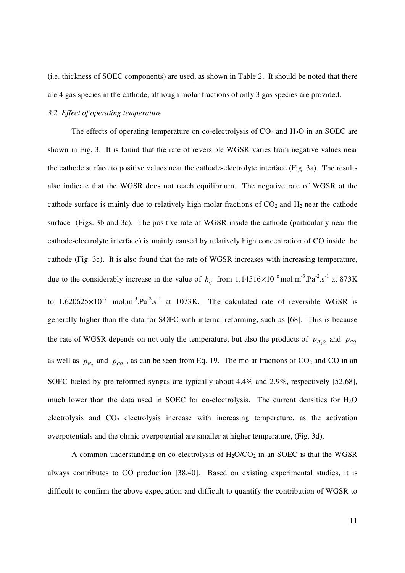(i.e. thickness of SOEC components) are used, as shown in Table 2. It should be noted that there are 4 gas species in the cathode, although molar fractions of only 3 gas species are provided.

## *3.2. Effect of operating temperature*

The effects of operating temperature on co-electrolysis of  $CO<sub>2</sub>$  and  $H<sub>2</sub>O$  in an SOEC are shown in Fig. 3. It is found that the rate of reversible WGSR varies from negative values near the cathode surface to positive values near the cathode-electrolyte interface (Fig. 3a). The results also indicate that the WGSR does not reach equilibrium. The negative rate of WGSR at the cathode surface is mainly due to relatively high molar fractions of  $CO<sub>2</sub>$  and  $H<sub>2</sub>$  near the cathode surface (Figs. 3b and 3c). The positive rate of WGSR inside the cathode (particularly near the cathode-electrolyte interface) is mainly caused by relatively high concentration of CO inside the cathode (Fig. 3c). It is also found that the rate of WGSR increases with increasing temperature, due to the considerably increase in the value of  $k_{sf}$  from 1.14516×10<sup>-8</sup> mol.m<sup>-3</sup>.Pa<sup>-2</sup>.s<sup>-1</sup> at 873K to 1.620625 $\times$ 10<sup>-7</sup> mol.m<sup>-3</sup>.Pa<sup>-2</sup>.s<sup>-1</sup> at 1073K. The calculated rate of reversible WGSR is generally higher than the data for SOFC with internal reforming, such as [68]. This is because the rate of WGSR depends on not only the temperature, but also the products of  $p_{H_2O}$  and  $p_{CO}$ as well as  $p_{H_2}$  and  $p_{CO_2}$ , as can be seen from Eq. 19. The molar fractions of CO<sub>2</sub> and CO in an SOFC fueled by pre-reformed syngas are typically about 4.4% and 2.9%, respectively [52,68], much lower than the data used in SOEC for co-electrolysis. The current densities for  $H_2O$ electrolysis and  $CO<sub>2</sub>$  electrolysis increase with increasing temperature, as the activation overpotentials and the ohmic overpotential are smaller at higher temperature, (Fig. 3d).

A common understanding on co-electrolysis of  $H_2O/CO_2$  in an SOEC is that the WGSR always contributes to CO production [38,40]. Based on existing experimental studies, it is difficult to confirm the above expectation and difficult to quantify the contribution of WGSR to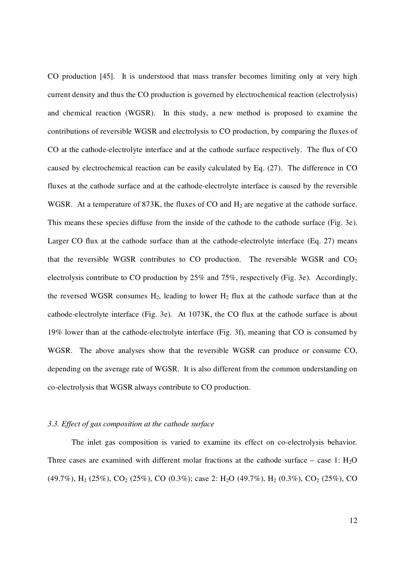CO production [45]. It is understood that mass transfer becomes limiting only at very high current density and thus the CO production is governed by electrochemical reaction (electrolysis) and chemical reaction (WGSR). In this study, a new method is proposed to examine the contributions of reversible WGSR and electrolysis to CO production, by comparing the fluxes of CO at the cathode-electrolyte interface and at the cathode surface respectively. The flux of CO caused by electrochemical reaction can be easily calculated by Eq. (27). The difference in CO fluxes at the cathode surface and at the cathode-electrolyte interface is caused by the reversible WGSR. At a temperature of 873K, the fluxes of CO and  $H_2$  are negative at the cathode surface. This means these species diffuse from the inside of the cathode to the cathode surface (Fig. 3e). Larger CO flux at the cathode surface than at the cathode-electrolyte interface (Eq. 27) means that the reversible WGSR contributes to CO production. The reversible WGSR and  $CO<sub>2</sub>$ electrolysis contribute to CO production by 25% and 75%, respectively (Fig. 3e). Accordingly, the reversed WGSR consumes  $H_2$ , leading to lower  $H_2$  flux at the cathode surface than at the cathode-electrolyte interface (Fig. 3e). At 1073K, the CO flux at the cathode surface is about 19% lower than at the cathode-electrolyte interface (Fig. 3f), meaning that CO is consumed by WGSR. The above analyses show that the reversible WGSR can produce or consume CO, depending on the average rate of WGSR. It is also different from the common understanding on co-electrolysis that WGSR always contribute to CO production.

## *3.3. Effect of gas composition at the cathode surface*

The inlet gas composition is varied to examine its effect on co-electrolysis behavior. Three cases are examined with different molar fractions at the cathode surface – case 1:  $H_2O$ (49.7%), H<sub>2</sub> (25%), CO<sub>2</sub> (25%), CO (0.3%); case 2: H<sub>2</sub>O (49.7%), H<sub>2</sub> (0.3%), CO<sub>2</sub> (25%), CO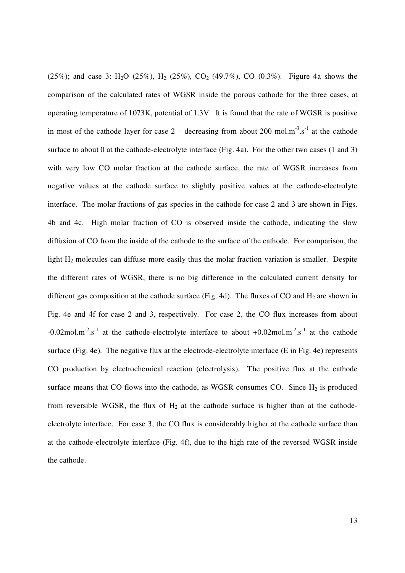(25%); and case 3: H<sub>2</sub>O (25%), H<sub>2</sub> (25%), CO<sub>2</sub> (49.7%), CO (0.3%). Figure 4a shows the comparison of the calculated rates of WGSR inside the porous cathode for the three cases, at operating temperature of 1073K, potential of 1.3V. It is found that the rate of WGSR is positive in most of the cathode layer for case  $2 -$  decreasing from about 200 mol.m<sup>-3</sup>.s<sup>-1</sup> at the cathode surface to about 0 at the cathode-electrolyte interface (Fig. 4a). For the other two cases (1 and 3) with very low CO molar fraction at the cathode surface, the rate of WGSR increases from negative values at the cathode surface to slightly positive values at the cathode-electrolyte interface. The molar fractions of gas species in the cathode for case 2 and 3 are shown in Figs. 4b and 4c. High molar fraction of CO is observed inside the cathode, indicating the slow diffusion of CO from the inside of the cathode to the surface of the cathode. For comparison, the light H<sub>2</sub> molecules can diffuse more easily thus the molar fraction variation is smaller. Despite the different rates of WGSR, there is no big difference in the calculated current density for different gas composition at the cathode surface (Fig. 4d). The fluxes of CO and  $H_2$  are shown in Fig. 4e and 4f for case 2 and 3, respectively. For case 2, the CO flux increases from about  $-0.02$ mol.m<sup>-2</sup>.s<sup>-1</sup> at the cathode-electrolyte interface to about  $+0.02$ mol.m<sup>-2</sup>.s<sup>-1</sup> at the cathode surface (Fig. 4e). The negative flux at the electrode-electrolyte interface (E in Fig. 4e) represents CO production by electrochemical reaction (electrolysis). The positive flux at the cathode surface means that CO flows into the cathode, as WGSR consumes CO. Since  $H_2$  is produced from reversible WGSR, the flux of  $H_2$  at the cathode surface is higher than at the cathodeelectrolyte interface. For case 3, the CO flux is considerably higher at the cathode surface than at the cathode-electrolyte interface (Fig. 4f), due to the high rate of the reversed WGSR inside the cathode.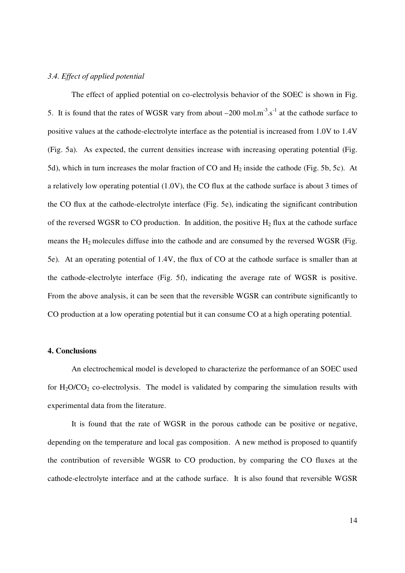#### *3.4. Effect of applied potential*

The effect of applied potential on co-electrolysis behavior of the SOEC is shown in Fig. 5. It is found that the rates of WGSR vary from about  $-200$  mol.m<sup>-3</sup>.s<sup>-1</sup> at the cathode surface to positive values at the cathode-electrolyte interface as the potential is increased from 1.0V to 1.4V (Fig. 5a). As expected, the current densities increase with increasing operating potential (Fig. 5d), which in turn increases the molar fraction of CO and  $H_2$  inside the cathode (Fig. 5b, 5c). At a relatively low operating potential (1.0V), the CO flux at the cathode surface is about 3 times of the CO flux at the cathode-electrolyte interface (Fig. 5e), indicating the significant contribution of the reversed WGSR to CO production. In addition, the positive  $H_2$  flux at the cathode surface means the H2 molecules diffuse into the cathode and are consumed by the reversed WGSR (Fig. 5e). At an operating potential of 1.4V, the flux of CO at the cathode surface is smaller than at the cathode-electrolyte interface (Fig. 5f), indicating the average rate of WGSR is positive. From the above analysis, it can be seen that the reversible WGSR can contribute significantly to CO production at a low operating potential but it can consume CO at a high operating potential.

## **4. Conclusions**

An electrochemical model is developed to characterize the performance of an SOEC used for  $H_2O/CO_2$  co-electrolysis. The model is validated by comparing the simulation results with experimental data from the literature.

It is found that the rate of WGSR in the porous cathode can be positive or negative, depending on the temperature and local gas composition. A new method is proposed to quantify the contribution of reversible WGSR to CO production, by comparing the CO fluxes at the cathode-electrolyte interface and at the cathode surface. It is also found that reversible WGSR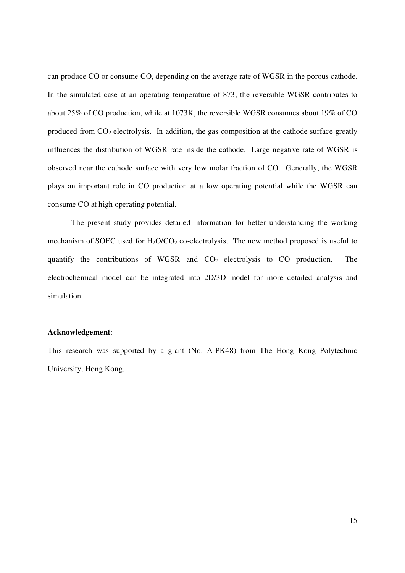can produce CO or consume CO, depending on the average rate of WGSR in the porous cathode. In the simulated case at an operating temperature of 873, the reversible WGSR contributes to about 25% of CO production, while at 1073K, the reversible WGSR consumes about 19% of CO produced from  $CO<sub>2</sub>$  electrolysis. In addition, the gas composition at the cathode surface greatly influences the distribution of WGSR rate inside the cathode. Large negative rate of WGSR is observed near the cathode surface with very low molar fraction of CO. Generally, the WGSR plays an important role in CO production at a low operating potential while the WGSR can consume CO at high operating potential.

The present study provides detailed information for better understanding the working mechanism of SOEC used for  $H_2O/CO_2$  co-electrolysis. The new method proposed is useful to quantify the contributions of WGSR and  $CO<sub>2</sub>$  electrolysis to CO production. The electrochemical model can be integrated into 2D/3D model for more detailed analysis and simulation.

## **Acknowledgement**:

This research was supported by a grant (No. A-PK48) from The Hong Kong Polytechnic University, Hong Kong.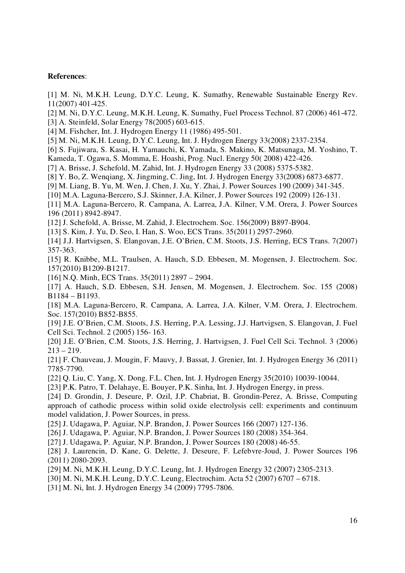### **References**:

[1] M. Ni, M.K.H. Leung, D.Y.C. Leung, K. Sumathy, Renewable Sustainable Energy Rev. 11(2007) 401-425.

[2] M. Ni, D.Y.C. Leung, M.K.H. Leung, K. Sumathy, Fuel Process Technol. 87 (2006) 461-472. [3] A. Steinfeld, Solar Energy 78(2005) 603-615.

[4] M. Fishcher, Int. J. Hydrogen Energy 11 (1986) 495-501.

[5] M. Ni, M.K.H. Leung, D.Y.C. Leung, Int. J. Hydrogen Energy 33(2008) 2337-2354.

[6] S. Fujiwara, S. Kasai, H. Yamauchi, K. Yamada, S. Makino, K. Matsunaga, M. Yoshino, T.

Kameda, T. Ogawa, S. Momma, E. Hoashi, Prog. Nucl. Energy 50( 2008) 422-426.

[7] A. Brisse, J. Schefold, M. Zahid, Int. J. Hydrogen Energy 33 (2008) 5375-5382.

[8] Y. Bo, Z. Wenqiang, X. Jingming, C. Jing, Int. J. Hydrogen Energy 33(2008) 6873-6877.

[9] M. Liang, B. Yu, M. Wen, J. Chen, J. Xu, Y. Zhai, J. Power Sources 190 (2009) 341-345.

[10] M.A. Laguna-Bercero, S.J. Skinner, J.A. Kilner, J. Power Sources 192 (2009) 126-131.

[11] M.A. Laguna-Bercero, R. Campana, A. Larrea, J.A. Kilner, V.M. Orera, J. Power Sources 196 (2011) 8942-8947.

[12] J. Schefold, A. Brisse, M. Zahid, J. Electrochem. Soc. 156(2009) B897-B904.

[13] S. Kim, J. Yu, D. Seo, I. Han, S. Woo, ECS Trans. 35(2011) 2957-2960.

[14] J.J. Hartvigsen, S. Elangovan, J.E. O'Brien, C.M. Stoots, J.S. Herring, ECS Trans. 7(2007) 357-363.

[15] R. Knibbe, M.L. Traulsen, A. Hauch, S.D. Ebbesen, M. Mogensen, J. Electrochem. Soc. 157(2010) B1209-B1217.

[16] N.Q. Minh, ECS Trans. 35(2011) 2897 – 2904.

[17] A. Hauch, S.D. Ebbesen, S.H. Jensen, M. Mogensen, J. Electrochem. Soc. 155 (2008) B1184 – B1193.

[18] M.A. Laguna-Bercero, R. Campana, A. Larrea, J.A. Kilner, V.M. Orera, J. Electrochem. Soc. 157(2010) B852-B855.

[19] J.E. O'Brien, C.M. Stoots, J.S. Herring, P.A. Lessing, J.J. Hartvigsen, S. Elangovan, J. Fuel Cell Sci. Technol. 2 (2005) 156- 163.

[20] J.E. O'Brien, C.M. Stoots, J.S. Herring, J. Hartvigsen, J. Fuel Cell Sci. Technol. 3 (2006)  $213 - 219$ .

[21] F. Chauveau, J. Mougin, F. Mauvy, J. Bassat, J. Grenier, Int. J. Hydrogen Energy 36 (2011) 7785-7790.

[22] Q. Liu, C. Yang, X. Dong. F.L. Chen, Int. J. Hydrogen Energy 35(2010) 10039-10044.

[23] P.K. Patro, T. Delahaye, E. Bouyer, P.K. Sinha, Int. J. Hydrogen Energy, in press.

[24] D. Grondin, J. Deseure, P. Ozil, J.P. Chabriat, B. Grondin-Perez, A. Brisse, Computing approach of cathodic process within solid oxide electrolysis cell: experiments and continuum model validation, J. Power Sources, in press.

[25] J. Udagawa, P. Aguiar, N.P. Brandon, J. Power Sources 166 (2007) 127-136.

[26] J. Udagawa, P. Aguiar, N.P. Brandon, J. Power Sources 180 (2008) 354-364.

[27] J. Udagawa, P. Aguiar, N.P. Brandon, J. Power Sources 180 (2008) 46-55.

[28] J. Laurencin, D. Kane, G. Delette, J. Deseure, F. Lefebvre-Joud, J. Power Sources 196 (2011) 2080-2093.

[29] M. Ni, M.K.H. Leung, D.Y.C. Leung, Int. J. Hydrogen Energy 32 (2007) 2305-2313.

[30] M. Ni, M.K.H. Leung, D.Y.C. Leung, Electrochim. Acta 52 (2007) 6707 – 6718.

[31] M. Ni, Int. J. Hydrogen Energy 34 (2009) 7795-7806.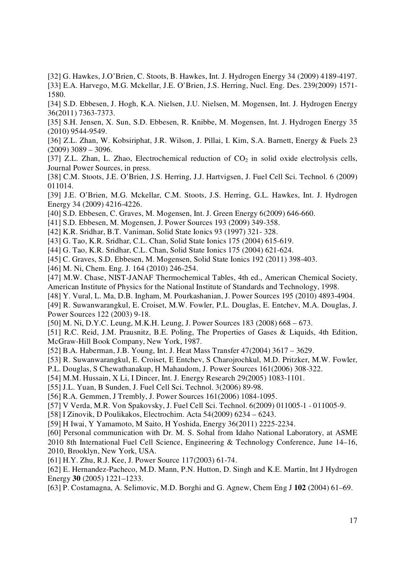[32] G. Hawkes, J.O'Brien, C. Stoots, B. Hawkes, Int. J. Hydrogen Energy 34 (2009) 4189-4197. [33] E.A. Harvego, M.G. Mckellar, J.E. O'Brien, J.S. Herring, Nucl. Eng. Des. 239(2009) 1571- 1580.

[34] S.D. Ebbesen, J. Hogh, K.A. Nielsen, J.U. Nielsen, M. Mogensen, Int. J. Hydrogen Energy 36(2011) 7363-7373.

[35] S.H. Jensen, X. Sun, S.D. Ebbesen, R. Knibbe, M. Mogensen, Int. J. Hydrogen Energy 35 (2010) 9544-9549.

[36] Z.L. Zhan, W. Kobsiriphat, J.R. Wilson, J. Pillai, I. Kim, S.A. Barnett, Energy & Fuels 23  $(2009)$  3089 – 3096.

[37] Z.L. Zhan, L. Zhao, Electrochemical reduction of  $CO<sub>2</sub>$  in solid oxide electrolysis cells, Journal Power Sources, in press.

[38] C.M. Stoots, J.E. O'Brien, J.S. Herring, J.J. Hartvigsen, J. Fuel Cell Sci. Technol. 6 (2009) 011014.

[39] J.E. O'Brien, M.G. Mckellar, C.M. Stoots, J.S. Herring, G.L. Hawkes, Int. J. Hydrogen Energy 34 (2009) 4216-4226.

[40] S.D. Ebbesen, C. Graves, M. Mogensen, Int. J. Green Energy 6(2009) 646-660.

[41] S.D. Ebbesen, M. Mogensen, J. Power Sources 193 (2009) 349-358.

[42] K.R. Sridhar, B.T. Vaniman, Solid State Ionics 93 (1997) 321- 328.

[43] G. Tao, K.R. Sridhar, C.L. Chan, Solid State Ionics 175 (2004) 615-619.

[44] G. Tao, K.R. Sridhar, C.L. Chan, Solid State Ionics 175 (2004) 621-624.

[45] C. Graves, S.D. Ebbesen, M. Mogensen, Solid State Ionics 192 (2011) 398-403.

[46] M. Ni, Chem. Eng. J. 164 (2010) 246-254.

[47] M.W. Chase, NIST-JANAF Thermochemical Tables, 4th ed., American Chemical Society, American Institute of Physics for the National Institute of Standards and Technology, 1998.

[48] Y. Vural, L. Ma, D.B. Ingham, M. Pourkashanian, J. Power Sources 195 (2010) 4893-4904.

[49] R. Suwanwarangkul, E. Croiset, M.W. Fowler, P.L. Douglas, E. Entchev, M.A. Douglas, J. Power Sources 122 (2003) 9-18.

[50] M. Ni, D.Y.C. Leung, M.K.H. Leung, J. Power Sources 183 (2008) 668 – 673.

[51] R.C. Reid, J.M. Prausnitz, B.E. Poling, The Properties of Gases & Liquids, 4th Edition, McGraw-Hill Book Company, New York, 1987.

[52] B.A. Haberman, J.B. Young, Int. J. Heat Mass Transfer 47(2004) 3617 – 3629.

[53] R. Suwanwarangkul, E. Croiset, E Entchev, S Charojrochkul, M.D. Pritzker, M.W. Fowler,

P.L. Douglas, S Chewathanakup, H Mahaudom, J. Power Sources 161(2006) 308-322.

[54] M.M. Hussain, X Li, I Dincer, Int. J. Energy Research 29(2005) 1083-1101.

[55] J.L. Yuan, B Sunden, J. Fuel Cell Sci. Technol. 3(2006) 89-98.

[56] R.A. Gemmen, J Trembly, J. Power Sources 161(2006) 1084-1095.

[57] V Verda, M.R. Von Spakovsky, J. Fuel Cell Sci. Technol. 6(2009) 011005-1 - 011005-9.

[58] I Zinovik, D Poulikakos, Electrochim. Acta 54(2009) 6234 – 6243.

[59] H Iwai, Y Yamamoto, M Saito, H Yoshida, Energy 36(2011) 2225-2234.

[60] Personal communication with Dr. M. S. Sohal from Idaho National Laboratory, at ASME 2010 8th International Fuel Cell Science, Engineering & Technology Conference, June 14–16, 2010, Brooklyn, New York, USA.

[61] H.Y. Zhu, R.J. Kee, J. Power Source 117(2003) 61-74.

[62] E. Hernandez-Pacheco, M.D. Mann, P.N. Hutton, D. Singh and K.E. Martin, Int J Hydrogen Energy **30** (2005) 1221–1233.

[63] P. Costamagna, A. Selimovic, M.D. Borghi and G. Agnew, Chem Eng J **102** (2004) 61–69.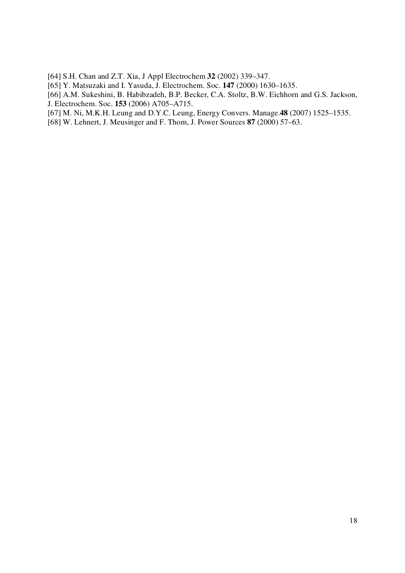- [64] S.H. Chan and Z.T. Xia, J Appl Electrochem **32** (2002) 339–347.
- [65] Y. Matsuzaki and I. Yasuda, J. Electrochem. Soc. **147** (2000) 1630–1635.
- [66] A.M. Sukeshini, B. Habibzadeh, B.P. Becker, C.A. Stoltz, B.W. Eichhorn and G.S. Jackson, J. Electrochem. Soc. **153** (2006) A705–A715.
- [67] M. Ni, M.K.H. Leung and D.Y.C. Leung, Energy Convers. Manage.**48** (2007) 1525–1535.
- [68] W. Lehnert, J. Meusinger and F. Thom, J. Power Sources **87** (2000) 57–63.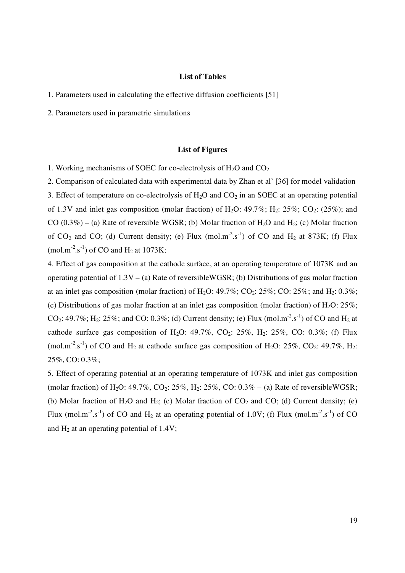## **List of Tables**

1. Parameters used in calculating the effective diffusion coefficients [51]

2. Parameters used in parametric simulations

### **List of Figures**

1. Working mechanisms of SOEC for co-electrolysis of  $H_2O$  and  $CO<sub>2</sub>$ 

2. Comparison of calculated data with experimental data by Zhan et al' [36] for model validation 3. Effect of temperature on co-electrolysis of  $H_2O$  and  $CO_2$  in an SOEC at an operating potential of 1.3V and inlet gas composition (molar fraction) of  $H_2O$ : 49.7%;  $H_2$ : 25%;  $CO_2$ : (25%); and CO  $(0.3\%)$  – (a) Rate of reversible WGSR; (b) Molar fraction of H<sub>2</sub>O and H<sub>2</sub>; (c) Molar fraction of CO<sub>2</sub> and CO; (d) Current density; (e) Flux (mol.m<sup>-2</sup>.s<sup>-1</sup>) of CO and H<sub>2</sub> at 873K; (f) Flux (mol.m<sup>-2</sup>.s<sup>-1</sup>) of CO and H<sub>2</sub> at 1073K;

4. Effect of gas composition at the cathode surface, at an operating temperature of 1073K and an operating potential of 1.3V – (a) Rate of reversibleWGSR; (b) Distributions of gas molar fraction at an inlet gas composition (molar fraction) of  $H_2O$ : 49.7%;  $CO_2$ : 25%; CO: 25%; and  $H_2$ : 0.3%; (c) Distributions of gas molar fraction at an inlet gas composition (molar fraction) of  $H_2O$ : 25%;  $CO_2$ : 49.7%; H<sub>2</sub>: 25%; and CO: 0.3%; (d) Current density; (e) Flux (mol.m<sup>-2</sup>.s<sup>-1</sup>) of CO and H<sub>2</sub> at cathode surface gas composition of H<sub>2</sub>O: 49.7%, CO<sub>2</sub>: 25%, H<sub>2</sub>: 25%, CO: 0.3%; (f) Flux (mol.m<sup>-2</sup>.s<sup>-1</sup>) of CO and H<sub>2</sub> at cathode surface gas composition of H<sub>2</sub>O: 25%, CO<sub>2</sub>: 49.7%, H<sub>2</sub>: 25%, CO: 0.3%;

5. Effect of operating potential at an operating temperature of 1073K and inlet gas composition (molar fraction) of H<sub>2</sub>O: 49.7%, CO<sub>2</sub>: 25%, H<sub>2</sub>: 25%, CO:  $0.3\%$  – (a) Rate of reversibleWGSR; (b) Molar fraction of H<sub>2</sub>O and H<sub>2</sub>; (c) Molar fraction of  $CO_2$  and  $CO$ ; (d) Current density; (e) Flux (mol.m<sup>-2</sup>.s<sup>-1</sup>) of CO and H<sub>2</sub> at an operating potential of 1.0V; (f) Flux (mol.m<sup>-2</sup>.s<sup>-1</sup>) of CO and  $H_2$  at an operating potential of 1.4V;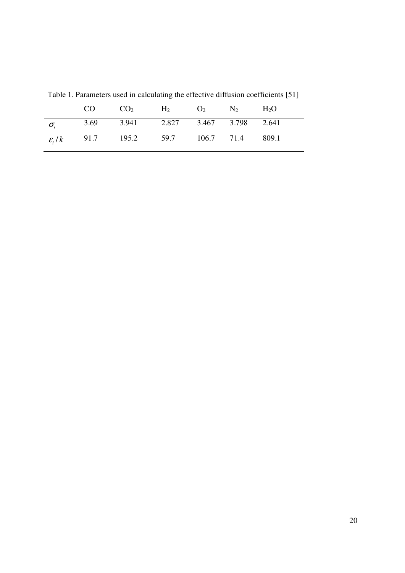|                  | CO | $CO_2$ $H_2$ $O_2$ $N_2$                           |  | $H_2O$ |
|------------------|----|----------------------------------------------------|--|--------|
| $\sigma_{\rm i}$ |    | 3.69 3.941 2.827 3.467 3.798 2.641                 |  |        |
|                  |    | $\varepsilon_i/k$ 91.7 195.2 59.7 106.7 71.4 809.1 |  |        |

Table 1. Parameters used in calculating the effective diffusion coefficients [51]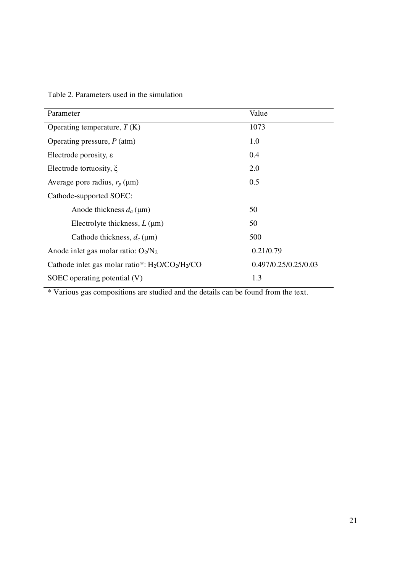|  |  | Table 2. Parameters used in the simulation |
|--|--|--------------------------------------------|
|--|--|--------------------------------------------|

| Parameter                                          | Value                |
|----------------------------------------------------|----------------------|
| Operating temperature, $T(K)$                      | 1073                 |
| Operating pressure, $P(\text{atm})$                | 1.0                  |
| Electrode porosity, $\varepsilon$                  | 0.4                  |
| Electrode tortuosity, $\xi$                        | 2.0                  |
| Average pore radius, $r_p$ ( $\mu$ m)              | 0.5                  |
| Cathode-supported SOEC:                            |                      |
| Anode thickness $d_a$ (µm)                         | 50                   |
| Electrolyte thickness, $L(\mu m)$                  | 50                   |
| Cathode thickness, $d_c$ (µm)                      | 500                  |
| Anode inlet gas molar ratio: $O_2/N_2$             | 0.21/0.79            |
| Cathode inlet gas molar ratio*: $H_2O/CO_2/H_2/CO$ | 0.497/0.25/0.25/0.03 |
| SOEC operating potential (V)                       | 1.3                  |

\* Various gas compositions are studied and the details can be found from the text.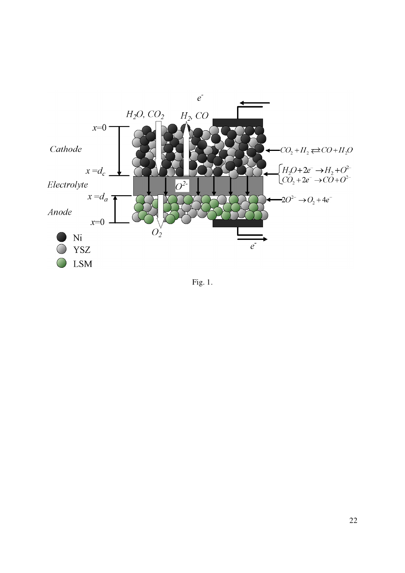

Fig. 1.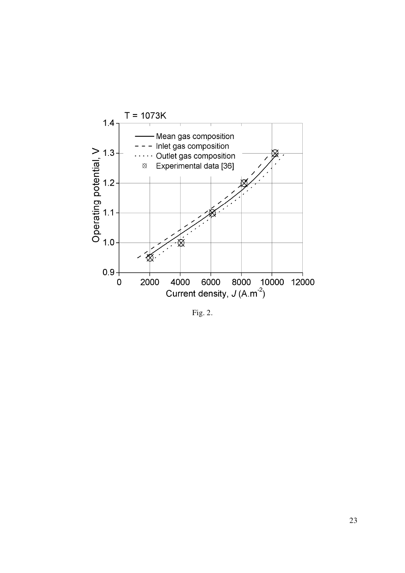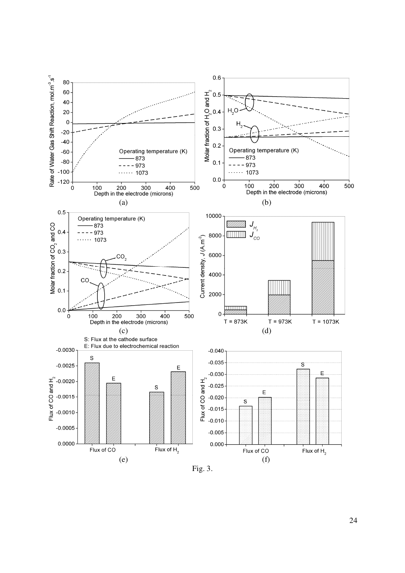

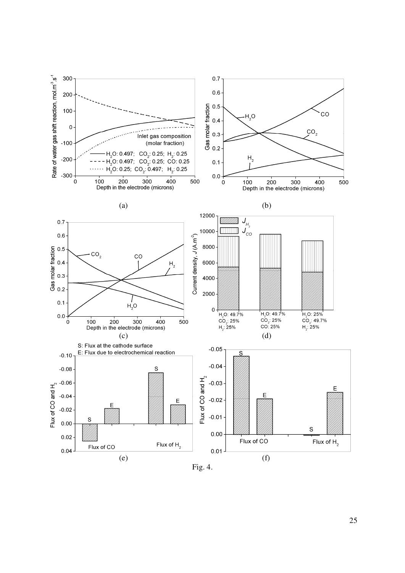

Fig. 4.